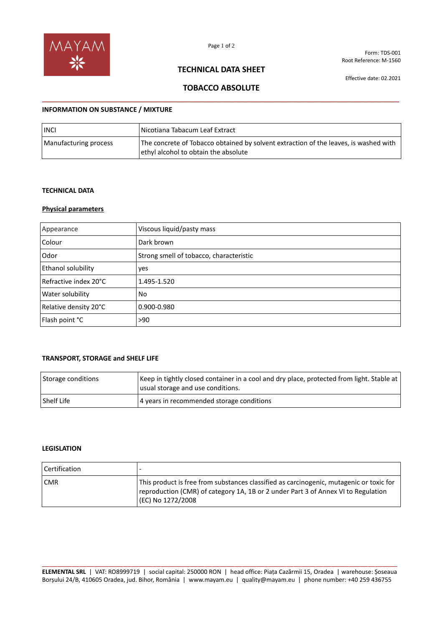

Form: TDS-001 Root Reference: M-1560

### **TECHNICAL DATA SHEET**

Effective date: 02.2021

# **TOBACCO ABSOLUTE \_\_\_\_\_\_\_\_\_\_\_\_\_\_\_\_\_\_\_\_\_\_\_\_\_\_\_\_\_\_\_\_\_\_\_\_\_\_\_\_\_\_\_\_\_\_\_\_\_\_\_\_\_\_\_\_\_\_\_\_\_\_\_\_\_\_\_\_\_\_\_\_\_\_\_\_\_\_\_\_**

### **INFORMATION ON SUBSTANCE / MIXTURE**

| <b>INCI</b>           | Nicotiana Tabacum Leaf Extract_                                                                                              |
|-----------------------|------------------------------------------------------------------------------------------------------------------------------|
| Manufacturing process | The concrete of Tobacco obtained by solvent extraction of the leaves, is washed with<br>ethyl alcohol to obtain the absolute |

#### **TECHNICAL DATA**

#### **Physical parameters**

| Appearance                | Viscous liquid/pasty mass               |
|---------------------------|-----------------------------------------|
| Colour                    | Dark brown                              |
| Odor                      | Strong smell of tobacco, characteristic |
| <b>Ethanol solubility</b> | yes                                     |
| Refractive index 20°C     | 1.495-1.520                             |
| Water solubility          | No                                      |
| Relative density 20°C     | 0.900-0.980                             |
| Flash point °C            | >90                                     |

#### **TRANSPORT, STORAGE and SHELF LIFE**

| Storage conditions | Keep in tightly closed container in a cool and dry place, protected from light. Stable at<br>usual storage and use conditions. |
|--------------------|--------------------------------------------------------------------------------------------------------------------------------|
| l Shelf Life       | 4 years in recommended storage conditions                                                                                      |

#### **LEGISLATION**

| Certification | $\overline{\phantom{a}}$                                                                                                                                                                          |
|---------------|---------------------------------------------------------------------------------------------------------------------------------------------------------------------------------------------------|
| <b>CMR</b>    | This product is free from substances classified as carcinogenic, mutagenic or toxic for<br>reproduction (CMR) of category 1A, 1B or 2 under Part 3 of Annex VI to Regulation<br>(EC) No 1272/2008 |